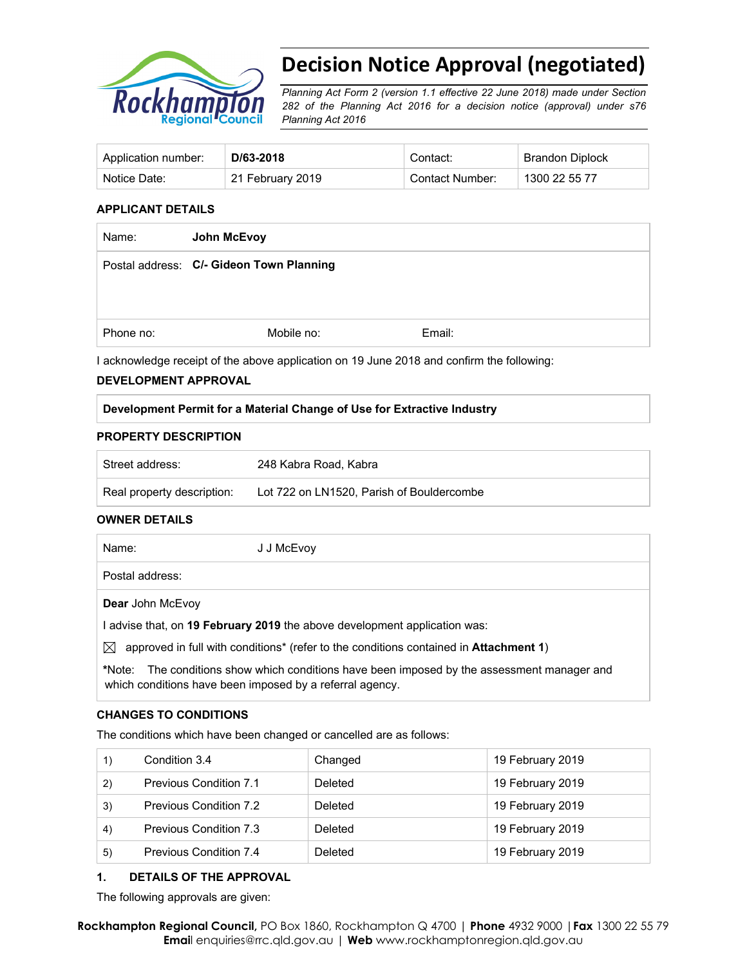

# **Decision Notice Approval (negotiated)**

*Planning Act Form 2 (version 1.1 effective 22 June 2018) made under Section 282 of the Planning Act 2016 for a decision notice (approval) under s76 Planning Act 2016*

| Application number: | D/63-2018        | Contact:        | Brandon Diplock |
|---------------------|------------------|-----------------|-----------------|
| Notice Date:        | 21 February 2019 | Contact Number: | 1300 22 55 77   |

## **APPLICANT DETAILS**

| Name:     | John McEvoy                              |        |
|-----------|------------------------------------------|--------|
|           | Postal address: C/- Gideon Town Planning |        |
|           |                                          |        |
| Phone no: | Mobile no:                               | Email: |

I acknowledge receipt of the above application on 19 June 2018 and confirm the following:

#### **DEVELOPMENT APPROVAL**

### **Development Permit for a Material Change of Use for Extractive Industry**

#### **PROPERTY DESCRIPTION**

| Street address:            | 248 Kabra Road, Kabra                     |
|----------------------------|-------------------------------------------|
| Real property description: | Lot 722 on LN1520, Parish of Bouldercombe |

#### **OWNER DETAILS**

| Name:                   | J J McEvoy                                                                                    |                                                                                              |
|-------------------------|-----------------------------------------------------------------------------------------------|----------------------------------------------------------------------------------------------|
| Postal address:         |                                                                                               |                                                                                              |
| <b>Dear John McEvoy</b> |                                                                                               |                                                                                              |
|                         | I advise that, on 19 February 2019 the above development application was:                     |                                                                                              |
| $\bowtie$               | approved in full with conditions* (refer to the conditions contained in <b>Attachment 1</b> ) |                                                                                              |
|                         |                                                                                               | thlete. The conditions show which conditions hove been imposed by the cosessment meneger and |

**\***Note:The conditions show which conditions have been imposed by the assessment manager and which conditions have been imposed by a referral agency.

#### **CHANGES TO CONDITIONS**

The conditions which have been changed or cancelled are as follows:

|              | Condition 3.4                 | Changed | 19 February 2019 |
|--------------|-------------------------------|---------|------------------|
| $\mathbf{2}$ | <b>Previous Condition 7.1</b> | Deleted | 19 February 2019 |
| 3)           | Previous Condition 7.2        | Deleted | 19 February 2019 |
| 4)           | Previous Condition 7.3        | Deleted | 19 February 2019 |
| 5)           | Previous Condition 7.4        | Deleted | 19 February 2019 |

## **1. DETAILS OF THE APPROVAL**

The following approvals are given: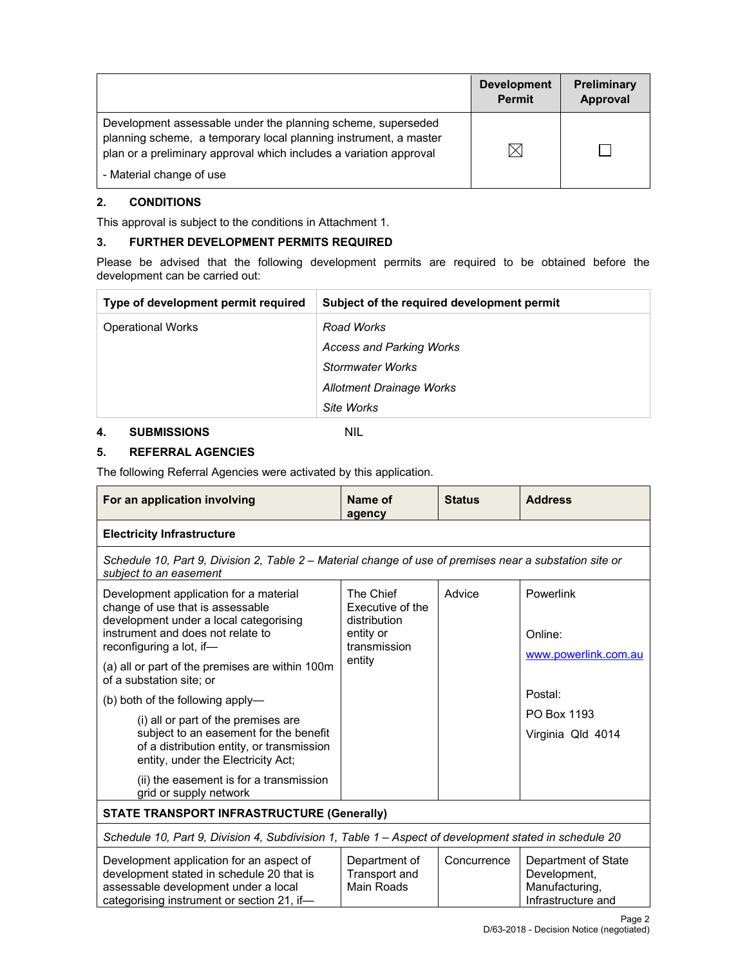|                                                                                                                                                                                                        | <b>Development</b><br><b>Permit</b> | Preliminary<br>Approval |
|--------------------------------------------------------------------------------------------------------------------------------------------------------------------------------------------------------|-------------------------------------|-------------------------|
| Development assessable under the planning scheme, superseded<br>planning scheme, a temporary local planning instrument, a master<br>plan or a preliminary approval which includes a variation approval |                                     |                         |
| - Material change of use                                                                                                                                                                               |                                     |                         |

## **2. CONDITIONS**

This approval is subject to the conditions in Attachment 1.

## **3. FURTHER DEVELOPMENT PERMITS REQUIRED**

Please be advised that the following development permits are required to be obtained before the development can be carried out:

| Type of development permit required | Subject of the required development permit |
|-------------------------------------|--------------------------------------------|
| <b>Operational Works</b>            | Road Works                                 |
|                                     | <b>Access and Parking Works</b>            |
|                                     | Stormwater Works                           |
|                                     | <b>Allotment Drainage Works</b>            |
|                                     | Site Works                                 |

## **4. SUBMISSIONS** NIL

## **5. REFERRAL AGENCIES**

The following Referral Agencies were activated by this application.

| For an application involving                                                                                                                                                          | Name of<br>agency                                                          | <b>Status</b> | <b>Address</b>                                                              |  |
|---------------------------------------------------------------------------------------------------------------------------------------------------------------------------------------|----------------------------------------------------------------------------|---------------|-----------------------------------------------------------------------------|--|
| <b>Electricity Infrastructure</b>                                                                                                                                                     |                                                                            |               |                                                                             |  |
| Schedule 10, Part 9, Division 2, Table 2 – Material change of use of premises near a substation site or<br>subject to an easement                                                     |                                                                            |               |                                                                             |  |
| Development application for a material<br>change of use that is assessable<br>development under a local categorising<br>instrument and does not relate to<br>reconfiguring a lot, if- | The Chief<br>Executive of the<br>distribution<br>entity or<br>transmission | Advice        | Powerlink<br>Online:<br>www.powerlink.com.au                                |  |
| (a) all or part of the premises are within 100m<br>of a substation site: or                                                                                                           | entity                                                                     |               |                                                                             |  |
| (b) both of the following apply—                                                                                                                                                      |                                                                            |               | Postal:                                                                     |  |
| (i) all or part of the premises are<br>subject to an easement for the benefit<br>of a distribution entity, or transmission<br>entity, under the Electricity Act;                      |                                                                            |               | PO Box 1193<br>Virginia Qld 4014                                            |  |
| (ii) the easement is for a transmission<br>grid or supply network                                                                                                                     |                                                                            |               |                                                                             |  |
| <b>STATE TRANSPORT INFRASTRUCTURE (Generally)</b>                                                                                                                                     |                                                                            |               |                                                                             |  |
| Schedule 10, Part 9, Division 4, Subdivision 1, Table 1 - Aspect of development stated in schedule 20                                                                                 |                                                                            |               |                                                                             |  |
| Development application for an aspect of<br>development stated in schedule 20 that is<br>assessable development under a local<br>categorising instrument or section 21, if-           | Department of<br><b>Transport and</b><br>Main Roads                        | Concurrence   | Department of State<br>Development,<br>Manufacturing,<br>Infrastructure and |  |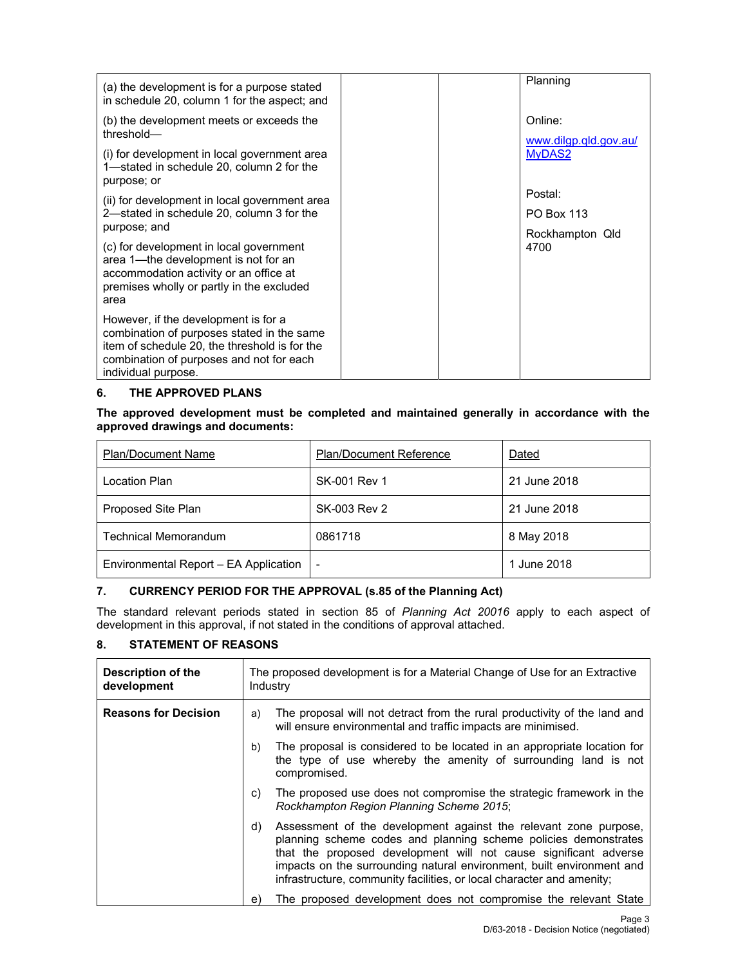| (a) the development is for a purpose stated<br>in schedule 20, column 1 for the aspect; and                                                                                                            | Planning                         |
|--------------------------------------------------------------------------------------------------------------------------------------------------------------------------------------------------------|----------------------------------|
| (b) the development meets or exceeds the<br>threshold-                                                                                                                                                 | Online:<br>www.dilgp.qld.gov.au/ |
| (i) for development in local government area<br>1—stated in schedule 20, column 2 for the<br>purpose; or                                                                                               | MyDAS2                           |
| (ii) for development in local government area                                                                                                                                                          | Postal:                          |
| 2—stated in schedule 20, column 3 for the                                                                                                                                                              | <b>PO Box 113</b>                |
| purpose; and                                                                                                                                                                                           | Rockhampton Qld                  |
| (c) for development in local government<br>area 1-the development is not for an<br>accommodation activity or an office at<br>premises wholly or partly in the excluded<br>area                         | 4700                             |
| However, if the development is for a<br>combination of purposes stated in the same<br>item of schedule 20, the threshold is for the<br>combination of purposes and not for each<br>individual purpose. |                                  |

## **6. THE APPROVED PLANS**

**The approved development must be completed and maintained generally in accordance with the approved drawings and documents:** 

| <b>Plan/Document Name</b>             | <b>Plan/Document Reference</b> | Dated        |
|---------------------------------------|--------------------------------|--------------|
| Location Plan                         | SK-001 Rev 1                   | 21 June 2018 |
| Proposed Site Plan                    | <b>SK-003 Rev 2</b>            | 21 June 2018 |
| <b>Technical Memorandum</b>           | 0861718                        | 8 May 2018   |
| Environmental Report - EA Application | $\overline{a}$                 | 1 June 2018  |

## **7. CURRENCY PERIOD FOR THE APPROVAL (s.85 of the Planning Act)**

The standard relevant periods stated in section 85 of *Planning Act 20016* apply to each aspect of development in this approval, if not stated in the conditions of approval attached.

## **8. STATEMENT OF REASONS**

| Description of the<br>development |    | The proposed development is for a Material Change of Use for an Extractive<br>Industry                                                                                                                                                                                                                                                                    |
|-----------------------------------|----|-----------------------------------------------------------------------------------------------------------------------------------------------------------------------------------------------------------------------------------------------------------------------------------------------------------------------------------------------------------|
| <b>Reasons for Decision</b>       | a) | The proposal will not detract from the rural productivity of the land and<br>will ensure environmental and traffic impacts are minimised.                                                                                                                                                                                                                 |
|                                   | b) | The proposal is considered to be located in an appropriate location for<br>the type of use whereby the amenity of surrounding land is not<br>compromised.                                                                                                                                                                                                 |
|                                   | C) | The proposed use does not compromise the strategic framework in the<br>Rockhampton Region Planning Scheme 2015;                                                                                                                                                                                                                                           |
|                                   | d) | Assessment of the development against the relevant zone purpose,<br>planning scheme codes and planning scheme policies demonstrates<br>that the proposed development will not cause significant adverse<br>impacts on the surrounding natural environment, built environment and<br>infrastructure, community facilities, or local character and amenity; |
|                                   | e) | The proposed development does not compromise the relevant State                                                                                                                                                                                                                                                                                           |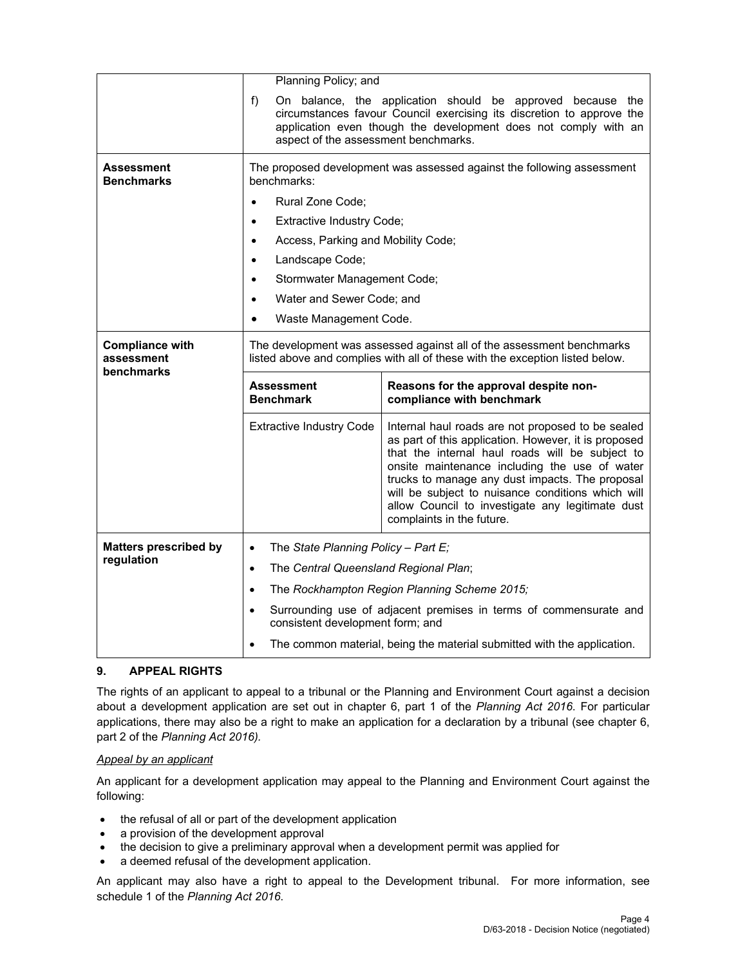|                                      | Planning Policy; and                                                                                                                                  |                                                                                                                                                                                                                                                                                                                                                                                                        |
|--------------------------------------|-------------------------------------------------------------------------------------------------------------------------------------------------------|--------------------------------------------------------------------------------------------------------------------------------------------------------------------------------------------------------------------------------------------------------------------------------------------------------------------------------------------------------------------------------------------------------|
|                                      | $f$ )<br>aspect of the assessment benchmarks.                                                                                                         | On balance, the application should be approved because the<br>circumstances favour Council exercising its discretion to approve the<br>application even though the development does not comply with an                                                                                                                                                                                                 |
| Assessment<br><b>Benchmarks</b>      | benchmarks:                                                                                                                                           | The proposed development was assessed against the following assessment                                                                                                                                                                                                                                                                                                                                 |
|                                      | Rural Zone Code;<br>$\bullet$                                                                                                                         |                                                                                                                                                                                                                                                                                                                                                                                                        |
|                                      | <b>Extractive Industry Code;</b><br>$\bullet$                                                                                                         |                                                                                                                                                                                                                                                                                                                                                                                                        |
|                                      | Access, Parking and Mobility Code;<br>$\bullet$                                                                                                       |                                                                                                                                                                                                                                                                                                                                                                                                        |
|                                      | Landscape Code;<br>$\bullet$                                                                                                                          |                                                                                                                                                                                                                                                                                                                                                                                                        |
|                                      | Stormwater Management Code;<br>$\bullet$                                                                                                              |                                                                                                                                                                                                                                                                                                                                                                                                        |
|                                      | Water and Sewer Code; and<br>$\bullet$                                                                                                                |                                                                                                                                                                                                                                                                                                                                                                                                        |
|                                      | Waste Management Code.<br>$\bullet$                                                                                                                   |                                                                                                                                                                                                                                                                                                                                                                                                        |
| <b>Compliance with</b><br>assessment | The development was assessed against all of the assessment benchmarks<br>listed above and complies with all of these with the exception listed below. |                                                                                                                                                                                                                                                                                                                                                                                                        |
|                                      |                                                                                                                                                       |                                                                                                                                                                                                                                                                                                                                                                                                        |
| benchmarks                           | <b>Assessment</b><br><b>Benchmark</b>                                                                                                                 | Reasons for the approval despite non-<br>compliance with benchmark                                                                                                                                                                                                                                                                                                                                     |
|                                      | <b>Extractive Industry Code</b>                                                                                                                       | Internal haul roads are not proposed to be sealed<br>as part of this application. However, it is proposed<br>that the internal haul roads will be subject to<br>onsite maintenance including the use of water<br>trucks to manage any dust impacts. The proposal<br>will be subject to nuisance conditions which will<br>allow Council to investigate any legitimate dust<br>complaints in the future. |
| <b>Matters prescribed by</b>         | The State Planning Policy - Part E;<br>$\bullet$                                                                                                      |                                                                                                                                                                                                                                                                                                                                                                                                        |
| regulation                           | The Central Queensland Regional Plan;<br>$\bullet$                                                                                                    |                                                                                                                                                                                                                                                                                                                                                                                                        |
|                                      | $\bullet$                                                                                                                                             | The Rockhampton Region Planning Scheme 2015;                                                                                                                                                                                                                                                                                                                                                           |
|                                      | $\bullet$<br>consistent development form; and                                                                                                         | Surrounding use of adjacent premises in terms of commensurate and                                                                                                                                                                                                                                                                                                                                      |

## **9. APPEAL RIGHTS**

The rights of an applicant to appeal to a tribunal or the Planning and Environment Court against a decision about a development application are set out in chapter 6, part 1 of the *Planning Act 2016*. For particular applications, there may also be a right to make an application for a declaration by a tribunal (see chapter 6, part 2 of the *Planning Act 2016).*

## *Appeal by an applicant*

An applicant for a development application may appeal to the Planning and Environment Court against the following:

- the refusal of all or part of the development application
- a provision of the development approval
- the decision to give a preliminary approval when a development permit was applied for
- a deemed refusal of the development application.

An applicant may also have a right to appeal to the Development tribunal. For more information, see schedule 1 of the *Planning Act 2016*.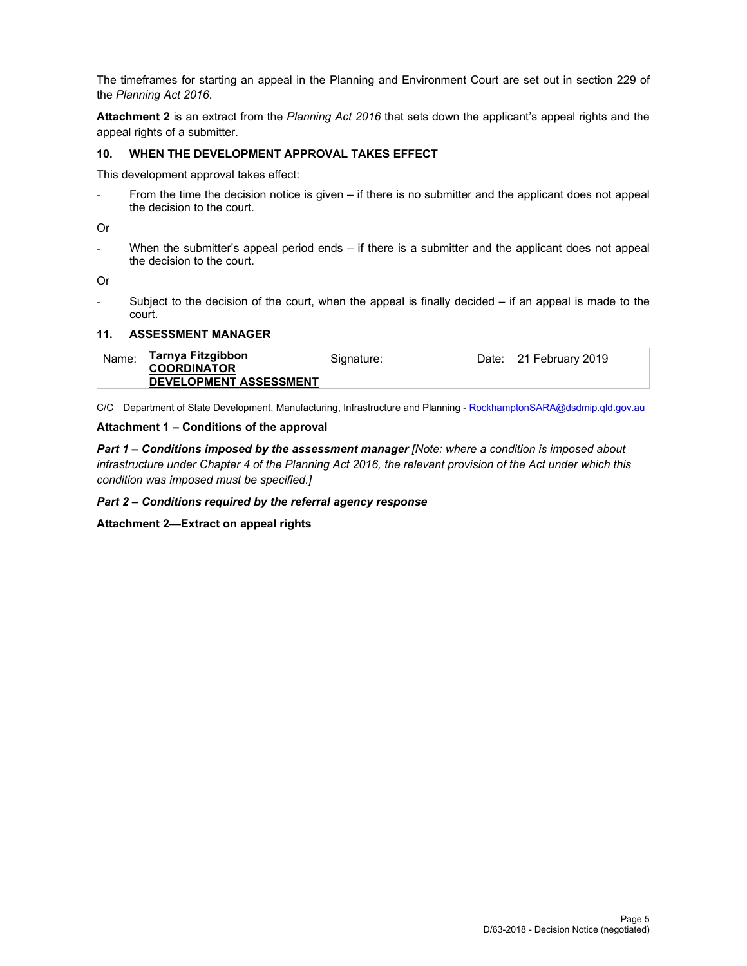The timeframes for starting an appeal in the Planning and Environment Court are set out in section 229 of the *Planning Act 2016*.

**Attachment 2** is an extract from the *Planning Act 2016* that sets down the applicant's appeal rights and the appeal rights of a submitter.

## **10. WHEN THE DEVELOPMENT APPROVAL TAKES EFFECT**

This development approval takes effect:

From the time the decision notice is given – if there is no submitter and the applicant does not appeal the decision to the court.

Or

When the submitter's appeal period ends  $-$  if there is a submitter and the applicant does not appeal the decision to the court.

Or

Subject to the decision of the court, when the appeal is finally decided  $-$  if an appeal is made to the court.

#### **11. ASSESSMENT MANAGER**

| Name: | Tarnya Fitzgibbon                                   | Signature: | Date: 21 February 2019 |
|-------|-----------------------------------------------------|------------|------------------------|
|       | <b>COORDINATOR</b><br><b>DEVELOPMENT ASSESSMENT</b> |            |                        |

C/C Department of State Development, Manufacturing, Infrastructure and Planning - RockhamptonSARA@dsdmip.qld.gov.au

### **Attachment 1 – Conditions of the approval**

*Part 1* **–** *Conditions imposed by the assessment manager [Note: where a condition is imposed about infrastructure under Chapter 4 of the Planning Act 2016, the relevant provision of the Act under which this condition was imposed must be specified.]* 

*Part 2 – Conditions required by the referral agency response* 

**Attachment 2—Extract on appeal rights**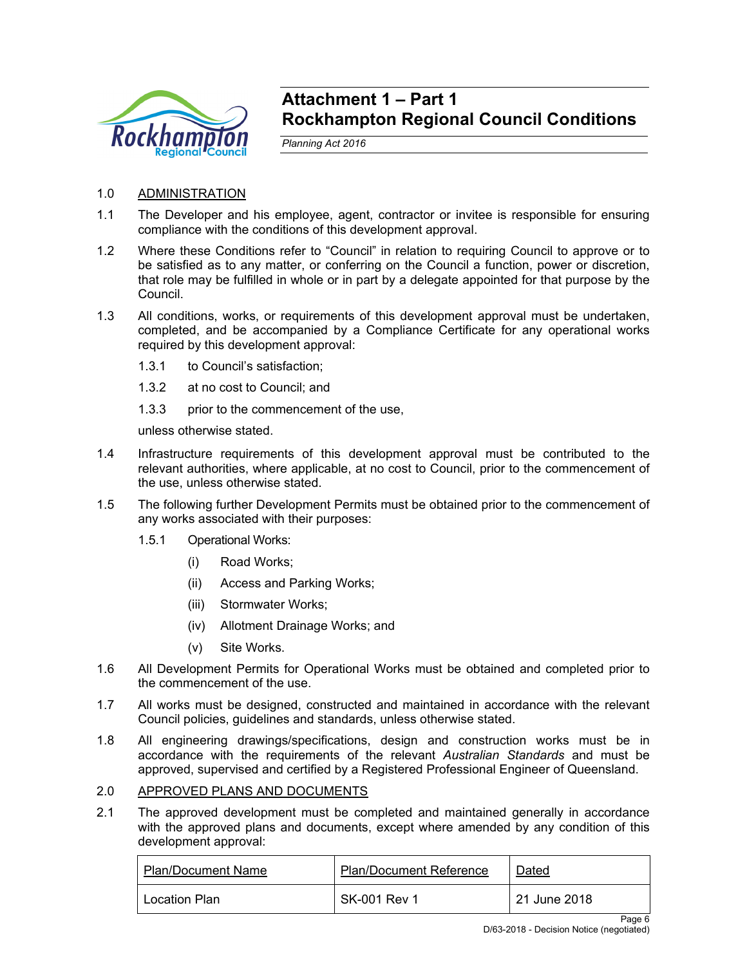

## **Attachment 1 – Part 1 Rockhampton Regional Council Conditions**

*Planning Act 2016* 

## 1.0 ADMINISTRATION

- 1.1 The Developer and his employee, agent, contractor or invitee is responsible for ensuring compliance with the conditions of this development approval.
- 1.2 Where these Conditions refer to "Council" in relation to requiring Council to approve or to be satisfied as to any matter, or conferring on the Council a function, power or discretion, that role may be fulfilled in whole or in part by a delegate appointed for that purpose by the Council.
- 1.3 All conditions, works, or requirements of this development approval must be undertaken, completed, and be accompanied by a Compliance Certificate for any operational works required by this development approval:
	- 1.3.1 to Council's satisfaction;
	- 1.3.2 at no cost to Council; and
	- 1.3.3 prior to the commencement of the use,

unless otherwise stated.

- 1.4 Infrastructure requirements of this development approval must be contributed to the relevant authorities, where applicable, at no cost to Council, prior to the commencement of the use, unless otherwise stated.
- 1.5 The following further Development Permits must be obtained prior to the commencement of any works associated with their purposes:
	- 1.5.1 Operational Works:
		- (i) Road Works;
		- (ii) Access and Parking Works;
		- (iii) Stormwater Works;
		- (iv) Allotment Drainage Works; and
		- (v) Site Works.
- 1.6 All Development Permits for Operational Works must be obtained and completed prior to the commencement of the use.
- 1.7 All works must be designed, constructed and maintained in accordance with the relevant Council policies, guidelines and standards, unless otherwise stated.
- 1.8 All engineering drawings/specifications, design and construction works must be in accordance with the requirements of the relevant *Australian Standards* and must be approved, supervised and certified by a Registered Professional Engineer of Queensland.

## 2.0 APPROVED PLANS AND DOCUMENTS

2.1 The approved development must be completed and maintained generally in accordance with the approved plans and documents, except where amended by any condition of this development approval:

| <b>Plan/Document Name</b> | <b>Plan/Document Reference</b> | Dated        |
|---------------------------|--------------------------------|--------------|
| Location Plan             | SK-001 Rev 1                   | 21 June 2018 |

Page 6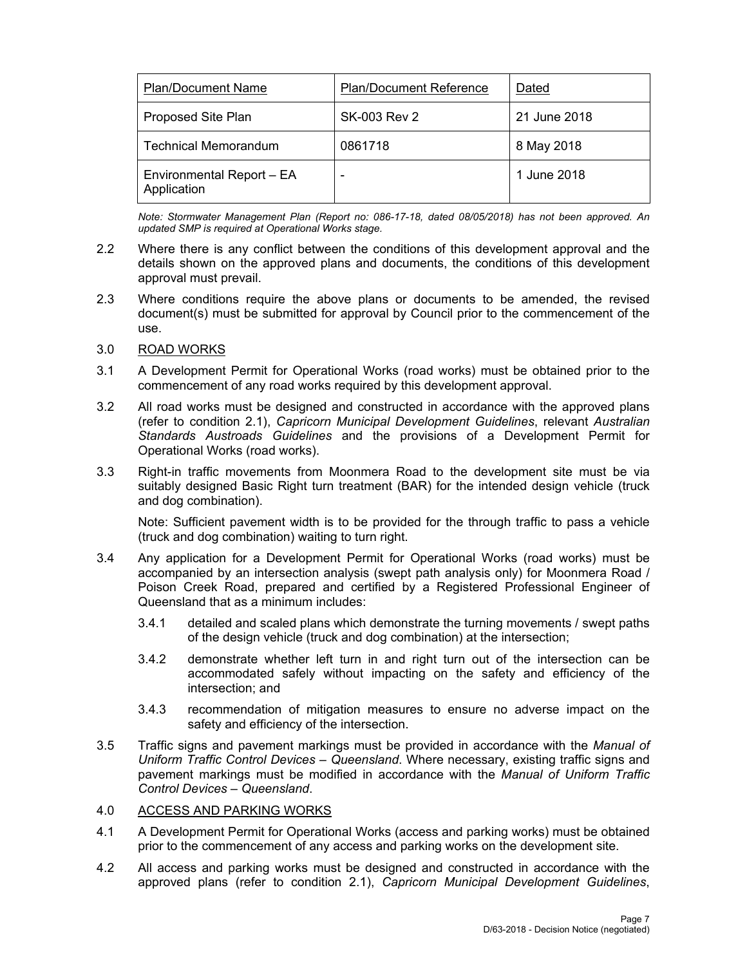| <b>Plan/Document Name</b>                | <b>Plan/Document Reference</b> | Dated        |
|------------------------------------------|--------------------------------|--------------|
| Proposed Site Plan                       | <b>SK-003 Rev 2</b>            | 21 June 2018 |
| <b>Technical Memorandum</b>              | 0861718                        | 8 May 2018   |
| Environmental Report - EA<br>Application |                                | 1 June 2018  |

*Note: Stormwater Management Plan (Report no: 086-17-18, dated 08/05/2018) has not been approved. An updated SMP is required at Operational Works stage.* 

- 2.2 Where there is any conflict between the conditions of this development approval and the details shown on the approved plans and documents, the conditions of this development approval must prevail.
- 2.3 Where conditions require the above plans or documents to be amended, the revised document(s) must be submitted for approval by Council prior to the commencement of the use.
- 3.0 ROAD WORKS
- 3.1 A Development Permit for Operational Works (road works) must be obtained prior to the commencement of any road works required by this development approval.
- 3.2 All road works must be designed and constructed in accordance with the approved plans (refer to condition 2.1), *Capricorn Municipal Development Guidelines*, relevant *Australian Standards Austroads Guidelines* and the provisions of a Development Permit for Operational Works (road works).
- 3.3 Right-in traffic movements from Moonmera Road to the development site must be via suitably designed Basic Right turn treatment (BAR) for the intended design vehicle (truck and dog combination).

Note: Sufficient pavement width is to be provided for the through traffic to pass a vehicle (truck and dog combination) waiting to turn right.

- 3.4 Any application for a Development Permit for Operational Works (road works) must be accompanied by an intersection analysis (swept path analysis only) for Moonmera Road / Poison Creek Road, prepared and certified by a Registered Professional Engineer of Queensland that as a minimum includes:
	- 3.4.1 detailed and scaled plans which demonstrate the turning movements / swept paths of the design vehicle (truck and dog combination) at the intersection;
	- 3.4.2 demonstrate whether left turn in and right turn out of the intersection can be accommodated safely without impacting on the safety and efficiency of the intersection; and
	- 3.4.3 recommendation of mitigation measures to ensure no adverse impact on the safety and efficiency of the intersection.
- 3.5 Traffic signs and pavement markings must be provided in accordance with the *Manual of Uniform Traffic Control Devices – Queensland*. Where necessary, existing traffic signs and pavement markings must be modified in accordance with the *Manual of Uniform Traffic Control Devices – Queensland*.

## 4.0 ACCESS AND PARKING WORKS

- 4.1 A Development Permit for Operational Works (access and parking works) must be obtained prior to the commencement of any access and parking works on the development site.
- 4.2 All access and parking works must be designed and constructed in accordance with the approved plans (refer to condition 2.1), *Capricorn Municipal Development Guidelines*,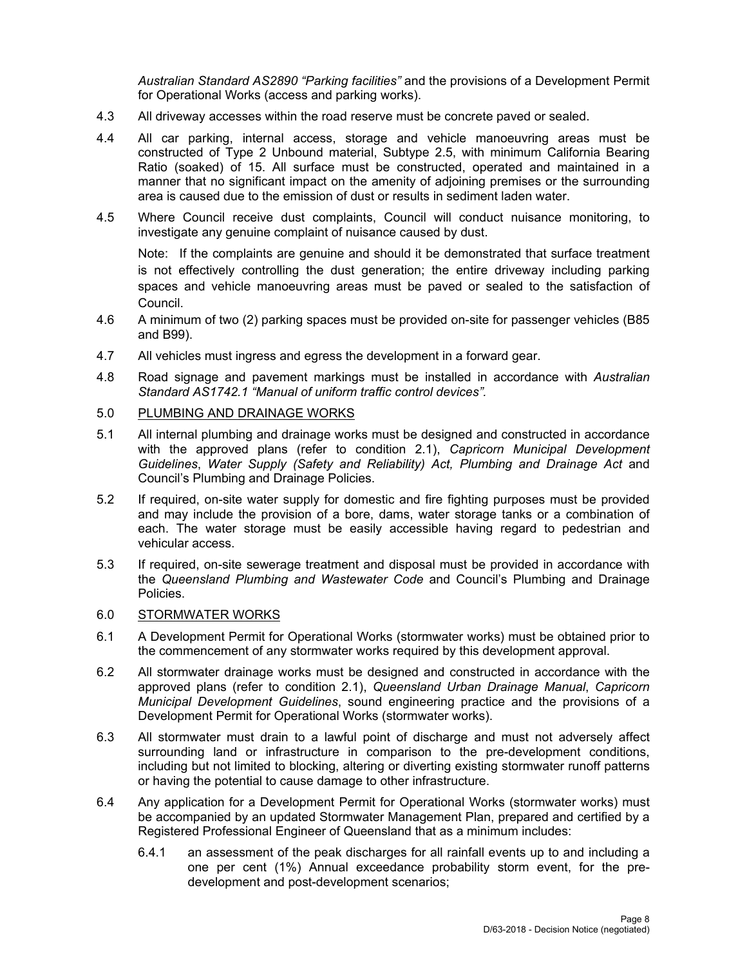*Australian Standard AS2890 "Parking facilities"* and the provisions of a Development Permit for Operational Works (access and parking works).

- 4.3 All driveway accesses within the road reserve must be concrete paved or sealed.
- 4.4 All car parking, internal access, storage and vehicle manoeuvring areas must be constructed of Type 2 Unbound material, Subtype 2.5, with minimum California Bearing Ratio (soaked) of 15. All surface must be constructed, operated and maintained in a manner that no significant impact on the amenity of adjoining premises or the surrounding area is caused due to the emission of dust or results in sediment laden water.
- 4.5 Where Council receive dust complaints, Council will conduct nuisance monitoring, to investigate any genuine complaint of nuisance caused by dust.

Note: If the complaints are genuine and should it be demonstrated that surface treatment is not effectively controlling the dust generation; the entire driveway including parking spaces and vehicle manoeuvring areas must be paved or sealed to the satisfaction of Council.

- 4.6 A minimum of two (2) parking spaces must be provided on-site for passenger vehicles (B85 and B99).
- 4.7 All vehicles must ingress and egress the development in a forward gear.
- 4.8 Road signage and pavement markings must be installed in accordance with *Australian Standard AS1742.1 "Manual of uniform traffic control devices".*

## 5.0 PLUMBING AND DRAINAGE WORKS

- 5.1 All internal plumbing and drainage works must be designed and constructed in accordance with the approved plans (refer to condition 2.1), *Capricorn Municipal Development Guidelines*, *Water Supply (Safety and Reliability) Act, Plumbing and Drainage Act* and Council's Plumbing and Drainage Policies.
- 5.2 If required, on-site water supply for domestic and fire fighting purposes must be provided and may include the provision of a bore, dams, water storage tanks or a combination of each. The water storage must be easily accessible having regard to pedestrian and vehicular access.
- 5.3 If required, on-site sewerage treatment and disposal must be provided in accordance with the *Queensland Plumbing and Wastewater Code* and Council's Plumbing and Drainage Policies.

## 6.0 STORMWATER WORKS

- 6.1 A Development Permit for Operational Works (stormwater works) must be obtained prior to the commencement of any stormwater works required by this development approval.
- 6.2 All stormwater drainage works must be designed and constructed in accordance with the approved plans (refer to condition 2.1), *Queensland Urban Drainage Manual*, *Capricorn Municipal Development Guidelines*, sound engineering practice and the provisions of a Development Permit for Operational Works (stormwater works).
- 6.3 All stormwater must drain to a lawful point of discharge and must not adversely affect surrounding land or infrastructure in comparison to the pre-development conditions, including but not limited to blocking, altering or diverting existing stormwater runoff patterns or having the potential to cause damage to other infrastructure.
- 6.4 Any application for a Development Permit for Operational Works (stormwater works) must be accompanied by an updated Stormwater Management Plan, prepared and certified by a Registered Professional Engineer of Queensland that as a minimum includes:
	- 6.4.1 an assessment of the peak discharges for all rainfall events up to and including a one per cent (1%) Annual exceedance probability storm event, for the predevelopment and post-development scenarios;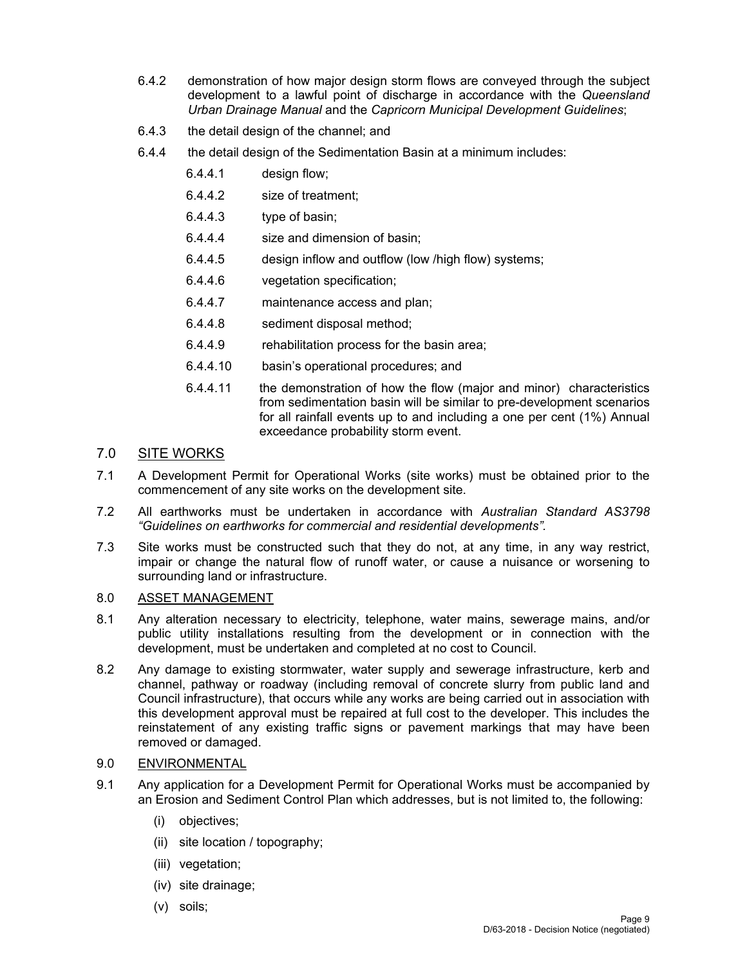- 6.4.2 demonstration of how major design storm flows are conveyed through the subject development to a lawful point of discharge in accordance with the *Queensland Urban Drainage Manual* and the *Capricorn Municipal Development Guidelines*;
- 6.4.3 the detail design of the channel; and
- 6.4.4 the detail design of the Sedimentation Basin at a minimum includes:
	- 6.4.4.1 design flow;
	- 6.4.4.2 size of treatment;
	- 6.4.4.3 type of basin;
	- 6.4.4.4 size and dimension of basin;
	- 6.4.4.5 design inflow and outflow (low /high flow) systems;
	- 6.4.4.6 vegetation specification;
	- 6.4.4.7 maintenance access and plan;
	- 6.4.4.8 sediment disposal method;
	- 6.4.4.9 rehabilitation process for the basin area;
	- 6.4.4.10 basin's operational procedures; and
	- 6.4.4.11 the demonstration of how the flow (major and minor) characteristics from sedimentation basin will be similar to pre-development scenarios for all rainfall events up to and including a one per cent (1%) Annual exceedance probability storm event.

## 7.0 SITE WORKS

- 7.1 A Development Permit for Operational Works (site works) must be obtained prior to the commencement of any site works on the development site.
- 7.2 All earthworks must be undertaken in accordance with *Australian Standard AS3798 "Guidelines on earthworks for commercial and residential developments".*
- 7.3 Site works must be constructed such that they do not, at any time, in any way restrict, impair or change the natural flow of runoff water, or cause a nuisance or worsening to surrounding land or infrastructure.

## 8.0 ASSET MANAGEMENT

- 8.1 Any alteration necessary to electricity, telephone, water mains, sewerage mains, and/or public utility installations resulting from the development or in connection with the development, must be undertaken and completed at no cost to Council.
- 8.2 Any damage to existing stormwater, water supply and sewerage infrastructure, kerb and channel, pathway or roadway (including removal of concrete slurry from public land and Council infrastructure), that occurs while any works are being carried out in association with this development approval must be repaired at full cost to the developer. This includes the reinstatement of any existing traffic signs or pavement markings that may have been removed or damaged.

## 9.0 ENVIRONMENTAL

- 9.1 Any application for a Development Permit for Operational Works must be accompanied by an Erosion and Sediment Control Plan which addresses, but is not limited to, the following:
	- (i) objectives;
	- (ii) site location / topography;
	- (iii) vegetation;
	- (iv) site drainage;
	- (v) soils;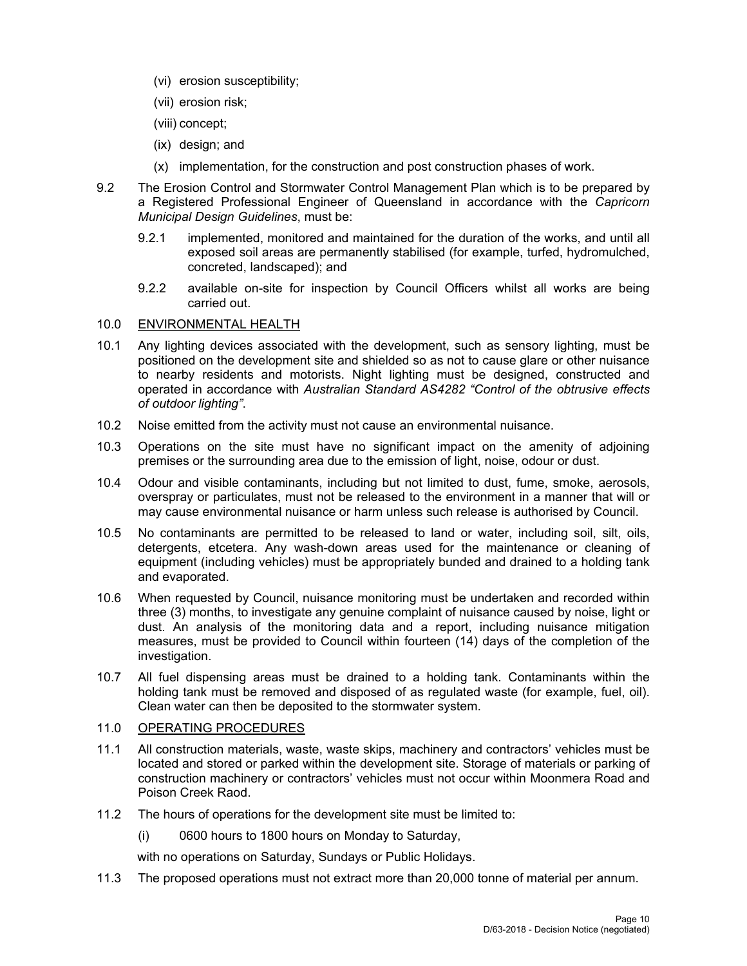- (vi) erosion susceptibility;
- (vii) erosion risk;
- (viii) concept;
- (ix) design; and
- (x) implementation, for the construction and post construction phases of work.
- 9.2 The Erosion Control and Stormwater Control Management Plan which is to be prepared by a Registered Professional Engineer of Queensland in accordance with the *Capricorn Municipal Design Guidelines*, must be:
	- 9.2.1 implemented, monitored and maintained for the duration of the works, and until all exposed soil areas are permanently stabilised (for example, turfed, hydromulched, concreted, landscaped); and
	- 9.2.2 available on-site for inspection by Council Officers whilst all works are being carried out.

## 10.0 ENVIRONMENTAL HEALTH

- 10.1 Any lighting devices associated with the development, such as sensory lighting, must be positioned on the development site and shielded so as not to cause glare or other nuisance to nearby residents and motorists. Night lighting must be designed, constructed and operated in accordance with *Australian Standard AS4282 "Control of the obtrusive effects of outdoor lighting"*.
- 10.2 Noise emitted from the activity must not cause an environmental nuisance.
- 10.3 Operations on the site must have no significant impact on the amenity of adjoining premises or the surrounding area due to the emission of light, noise, odour or dust.
- 10.4 Odour and visible contaminants, including but not limited to dust, fume, smoke, aerosols, overspray or particulates, must not be released to the environment in a manner that will or may cause environmental nuisance or harm unless such release is authorised by Council.
- 10.5 No contaminants are permitted to be released to land or water, including soil, silt, oils, detergents, etcetera. Any wash-down areas used for the maintenance or cleaning of equipment (including vehicles) must be appropriately bunded and drained to a holding tank and evaporated.
- 10.6 When requested by Council, nuisance monitoring must be undertaken and recorded within three (3) months, to investigate any genuine complaint of nuisance caused by noise, light or dust. An analysis of the monitoring data and a report, including nuisance mitigation measures, must be provided to Council within fourteen (14) days of the completion of the investigation.
- 10.7 All fuel dispensing areas must be drained to a holding tank. Contaminants within the holding tank must be removed and disposed of as regulated waste (for example, fuel, oil). Clean water can then be deposited to the stormwater system.

## 11.0 OPERATING PROCEDURES

- 11.1 All construction materials, waste, waste skips, machinery and contractors' vehicles must be located and stored or parked within the development site. Storage of materials or parking of construction machinery or contractors' vehicles must not occur within Moonmera Road and Poison Creek Raod.
- 11.2 The hours of operations for the development site must be limited to:
	- (i) 0600 hours to 1800 hours on Monday to Saturday,

with no operations on Saturday, Sundays or Public Holidays.

11.3 The proposed operations must not extract more than 20,000 tonne of material per annum.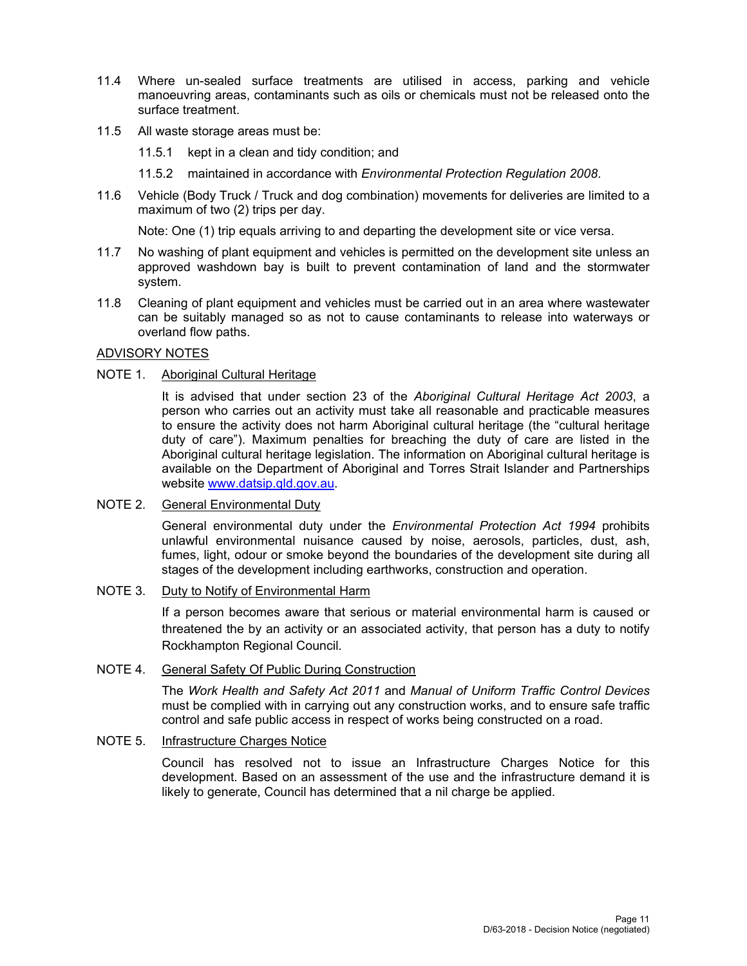- 11.4 Where un-sealed surface treatments are utilised in access, parking and vehicle manoeuvring areas, contaminants such as oils or chemicals must not be released onto the surface treatment.
- 11.5 All waste storage areas must be:
	- 11.5.1 kept in a clean and tidy condition; and
	- 11.5.2 maintained in accordance with *Environmental Protection Regulation 2008*.
- 11.6 Vehicle (Body Truck / Truck and dog combination) movements for deliveries are limited to a maximum of two (2) trips per day.

Note: One (1) trip equals arriving to and departing the development site or vice versa.

- 11.7 No washing of plant equipment and vehicles is permitted on the development site unless an approved washdown bay is built to prevent contamination of land and the stormwater system.
- 11.8 Cleaning of plant equipment and vehicles must be carried out in an area where wastewater can be suitably managed so as not to cause contaminants to release into waterways or overland flow paths.

### ADVISORY NOTES

## NOTE 1. Aboriginal Cultural Heritage

It is advised that under section 23 of the *Aboriginal Cultural Heritage Act 2003*, a person who carries out an activity must take all reasonable and practicable measures to ensure the activity does not harm Aboriginal cultural heritage (the "cultural heritage duty of care"). Maximum penalties for breaching the duty of care are listed in the Aboriginal cultural heritage legislation. The information on Aboriginal cultural heritage is available on the Department of Aboriginal and Torres Strait Islander and Partnerships website www.datsip.qld.gov.au.

### NOTE 2. General Environmental Duty

General environmental duty under the *Environmental Protection Act 1994* prohibits unlawful environmental nuisance caused by noise, aerosols, particles, dust, ash, fumes, light, odour or smoke beyond the boundaries of the development site during all stages of the development including earthworks, construction and operation.

## NOTE 3. Duty to Notify of Environmental Harm

If a person becomes aware that serious or material environmental harm is caused or threatened the by an activity or an associated activity, that person has a duty to notify Rockhampton Regional Council.

### NOTE 4. General Safety Of Public During Construction

The *Work Health and Safety Act 2011* and *Manual of Uniform Traffic Control Devices* must be complied with in carrying out any construction works, and to ensure safe traffic control and safe public access in respect of works being constructed on a road.

## NOTE 5. Infrastructure Charges Notice

Council has resolved not to issue an Infrastructure Charges Notice for this development. Based on an assessment of the use and the infrastructure demand it is likely to generate, Council has determined that a nil charge be applied.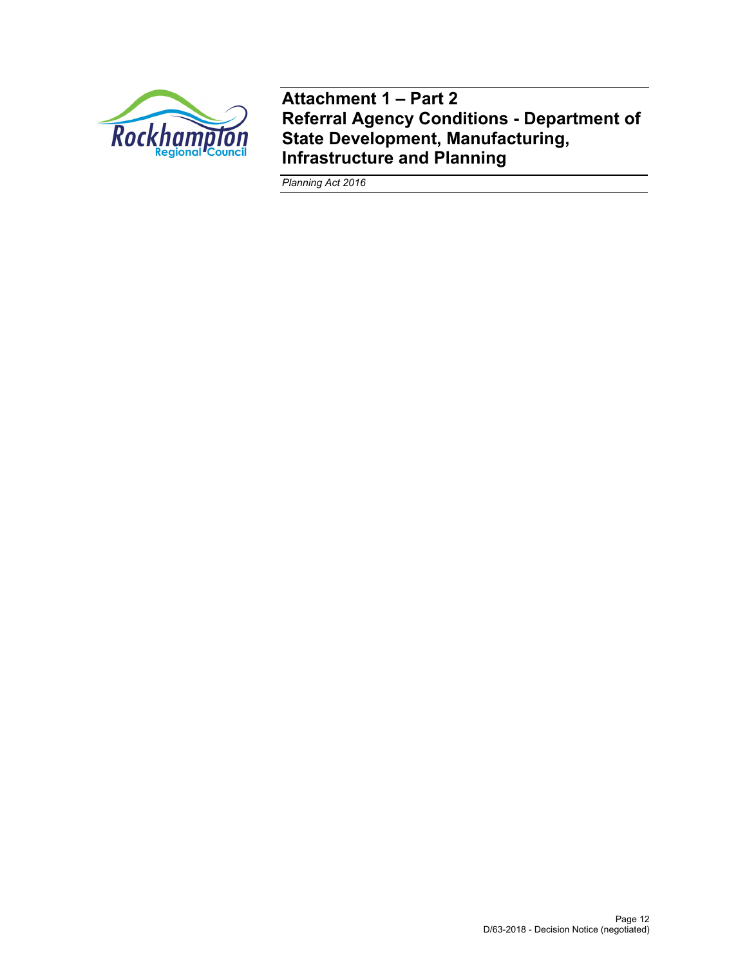

**Attachment 1 – Part 2 Referral Agency Conditions - Department of State Development, Manufacturing, Infrastructure and Planning** 

*Planning Act 2016*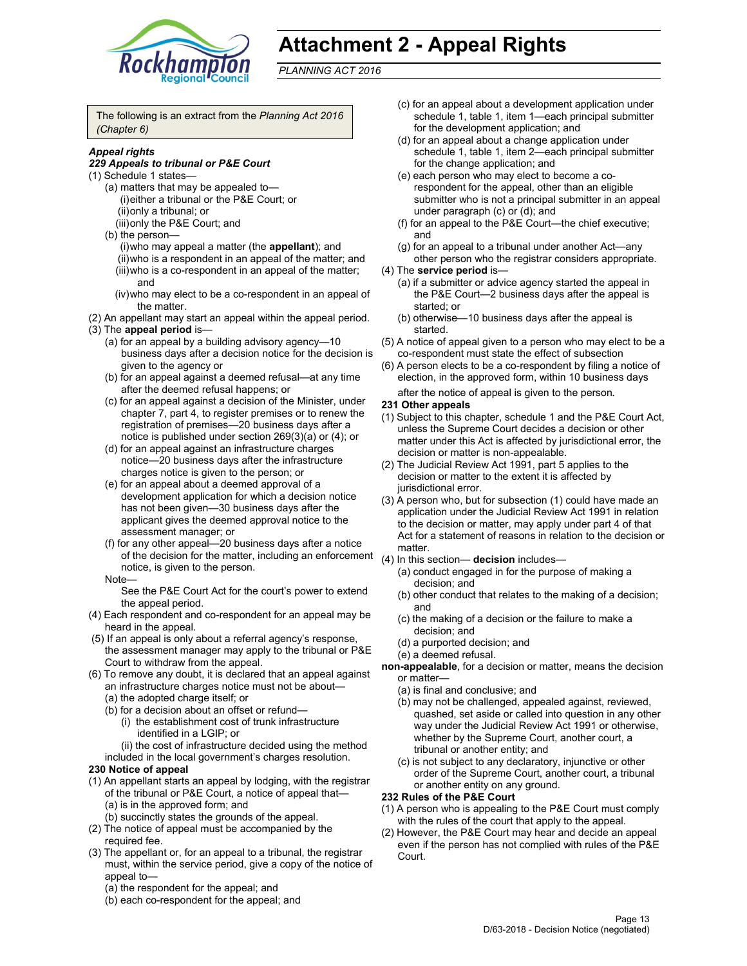

# **Attachment 2 - Appeal Rights**

*PLANNING ACT 2016*

The following is an extract from the *Planning Act 2016 (Chapter 6)*

### *Appeal rights*

#### *229 Appeals to tribunal or P&E Court*

- (1) Schedule 1 states—
	- (a) matters that may be appealed to— (i) either a tribunal or the P&E Court; or (ii) only a tribunal; or
	- (iii) only the P&E Court; and
	- (b) the person—
		- (i) who may appeal a matter (the **appellant**); and
		- (ii) who is a respondent in an appeal of the matter; and (iii) who is a co-respondent in an appeal of the matter; and
		- (iv) who may elect to be a co-respondent in an appeal of the matter.
- (2) An appellant may start an appeal within the appeal period. (3) The **appeal period** is—
	- (a) for an appeal by a building advisory agency—10 business days after a decision notice for the decision is
	- given to the agency or (b) for an appeal against a deemed refusal—at any time after the deemed refusal happens; or
	- (c) for an appeal against a decision of the Minister, under chapter 7, part 4, to register premises or to renew the registration of premises—20 business days after a notice is published under section 269(3)(a) or (4); or
	- (d) for an appeal against an infrastructure charges notice—20 business days after the infrastructure charges notice is given to the person; or
	- (e) for an appeal about a deemed approval of a development application for which a decision notice has not been given—30 business days after the applicant gives the deemed approval notice to the assessment manager; or
	- (f) for any other appeal—20 business days after a notice of the decision for the matter, including an enforcement (4) In this section— **decision** includes notice, is given to the person.

#### Note—

See the P&E Court Act for the court's power to extend the appeal period.

- (4) Each respondent and co-respondent for an appeal may be heard in the appeal.
- (5) If an appeal is only about a referral agency's response, the assessment manager may apply to the tribunal or P&E Court to withdraw from the appeal.
- (6) To remove any doubt, it is declared that an appeal against an infrastructure charges notice must not be about—
	- (a) the adopted charge itself; or
	- (b) for a decision about an offset or refund— (i) the establishment cost of trunk infrastructure
		- identified in a LGIP; or
	- (ii) the cost of infrastructure decided using the method included in the local government's charges resolution.

## **230 Notice of appeal**

- (1) An appellant starts an appeal by lodging, with the registrar of the tribunal or P&E Court, a notice of appeal that— (a) is in the approved form; and
	- (b) succinctly states the grounds of the appeal.
- (2) The notice of appeal must be accompanied by the required fee.
- (3) The appellant or, for an appeal to a tribunal, the registrar must, within the service period, give a copy of the notice of appeal to—
	- (a) the respondent for the appeal; and
	- (b) each co-respondent for the appeal; and
- (c) for an appeal about a development application under schedule 1, table 1, item 1—each principal submitter for the development application; and
- (d) for an appeal about a change application under schedule 1, table 1, item 2—each principal submitter for the change application; and
- (e) each person who may elect to become a corespondent for the appeal, other than an eligible submitter who is not a principal submitter in an appeal under paragraph (c) or (d); and
- (f) for an appeal to the P&E Court—the chief executive; and
- (g) for an appeal to a tribunal under another Act—any other person who the registrar considers appropriate.
- (4) The **service period** is—
	- (a) if a submitter or advice agency started the appeal in the P&E Court—2 business days after the appeal is started; or
	- (b) otherwise—10 business days after the appeal is started.
- (5) A notice of appeal given to a person who may elect to be a co-respondent must state the effect of subsection
- (6) A person elects to be a co-respondent by filing a notice of election, in the approved form, within 10 business days after the notice of appeal is given to the person*.*

#### **231 Other appeals**

- (1) Subject to this chapter, schedule 1 and the P&E Court Act, unless the Supreme Court decides a decision or other matter under this Act is affected by jurisdictional error, the decision or matter is non-appealable.
- (2) The Judicial Review Act 1991, part 5 applies to the decision or matter to the extent it is affected by jurisdictional error.
- (3) A person who, but for subsection (1) could have made an application under the Judicial Review Act 1991 in relation to the decision or matter, may apply under part 4 of that Act for a statement of reasons in relation to the decision or matter.
- - (a) conduct engaged in for the purpose of making a decision; and
	- (b) other conduct that relates to the making of a decision; and
	- (c) the making of a decision or the failure to make a decision; and
	- (d) a purported decision; and
	- (e) a deemed refusal.
- **non-appealable**, for a decision or matter, means the decision or matter—
	- (a) is final and conclusive; and
	- (b) may not be challenged, appealed against, reviewed, quashed, set aside or called into question in any other way under the Judicial Review Act 1991 or otherwise, whether by the Supreme Court, another court, a tribunal or another entity; and
	- (c) is not subject to any declaratory, injunctive or other order of the Supreme Court, another court, a tribunal or another entity on any ground.

#### **232 Rules of the P&E Court**

- (1) A person who is appealing to the P&E Court must comply with the rules of the court that apply to the appeal.
- (2) However, the P&E Court may hear and decide an appeal even if the person has not complied with rules of the P&E Court.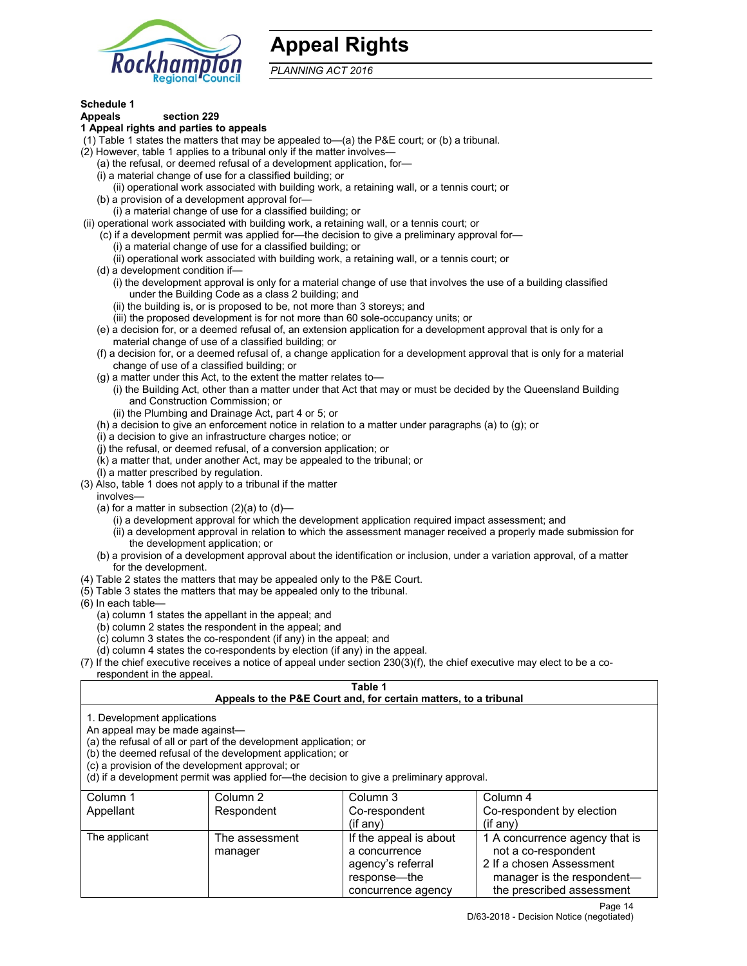

# **Appeal Rights**

*PLANNING ACT 2016*

## **Schedule 1**

#### **Appeals section 229 1 Appeal rights and parties to appeals**

- (1) Table 1 states the matters that may be appealed to—(a) the P&E court; or (b) a tribunal.
- (2) However, table 1 applies to a tribunal only if the matter involves—
	- (a) the refusal, or deemed refusal of a development application, for—
	- (i) a material change of use for a classified building; or
	- (ii) operational work associated with building work, a retaining wall, or a tennis court; or
	- (b) a provision of a development approval for—
	- (i) a material change of use for a classified building; or
- (ii) operational work associated with building work, a retaining wall, or a tennis court; or
	- (c) if a development permit was applied for—the decision to give a preliminary approval for—
		- (i) a material change of use for a classified building; or
		- (ii) operational work associated with building work, a retaining wall, or a tennis court; or
	- (d) a development condition if—
		- (i) the development approval is only for a material change of use that involves the use of a building classified under the Building Code as a class 2 building; and
		- (ii) the building is, or is proposed to be, not more than 3 storeys; and
		- (iii) the proposed development is for not more than 60 sole-occupancy units; or
	- (e) a decision for, or a deemed refusal of, an extension application for a development approval that is only for a material change of use of a classified building; or
	- (f) a decision for, or a deemed refusal of, a change application for a development approval that is only for a material change of use of a classified building; or
	- (g) a matter under this Act, to the extent the matter relates to—
		- (i) the Building Act, other than a matter under that Act that may or must be decided by the Queensland Building and Construction Commission; or
		- (ii) the Plumbing and Drainage Act, part 4 or 5; or
	- (h) a decision to give an enforcement notice in relation to a matter under paragraphs (a) to (g); or
	- (i) a decision to give an infrastructure charges notice; or
	- (j) the refusal, or deemed refusal, of a conversion application; or
	- (k) a matter that, under another Act, may be appealed to the tribunal; or
	- (l) a matter prescribed by regulation.
- (3) Also, table 1 does not apply to a tribunal if the matter
- involves—
	- (a) for a matter in subsection  $(2)(a)$  to  $(d)$ 
		- (i) a development approval for which the development application required impact assessment; and
		- (ii) a development approval in relation to which the assessment manager received a properly made submission for the development application; or
	- (b) a provision of a development approval about the identification or inclusion, under a variation approval, of a matter for the development.
- (4) Table 2 states the matters that may be appealed only to the P&E Court.
- (5) Table 3 states the matters that may be appealed only to the tribunal.
- (6) In each table—
	- (a) column 1 states the appellant in the appeal; and
	- (b) column 2 states the respondent in the appeal; and
	- (c) column 3 states the co-respondent (if any) in the appeal; and
	- (d) column 4 states the co-respondents by election (if any) in the appeal.
- (7) If the chief executive receives a notice of appeal under section 230(3)(f), the chief executive may elect to be a corespondent in the appeal.

## **Table 1**

## **Appeals to the P&E Court and, for certain matters, to a tribunal**

1. Development applications

An appeal may be made against—

(a) the refusal of all or part of the development application; or

(b) the deemed refusal of the development application; or

(c) a provision of the development approval; or

(d) if a development permit was applied for—the decision to give a preliminary approval.

| Column 1      | Column 2       | Column 3               | Column 4                       |
|---------------|----------------|------------------------|--------------------------------|
| Appellant     | Respondent     | Co-respondent          | Co-respondent by election      |
|               |                | $(if$ any)             | $(if$ any)                     |
| The applicant | The assessment | If the appeal is about | 1 A concurrence agency that is |
|               | manager        | a concurrence          | not a co-respondent            |
|               |                | agency's referral      | 2 If a chosen Assessment       |
|               |                | response—the           | manager is the respondent-     |
|               |                | concurrence agency     | the prescribed assessment      |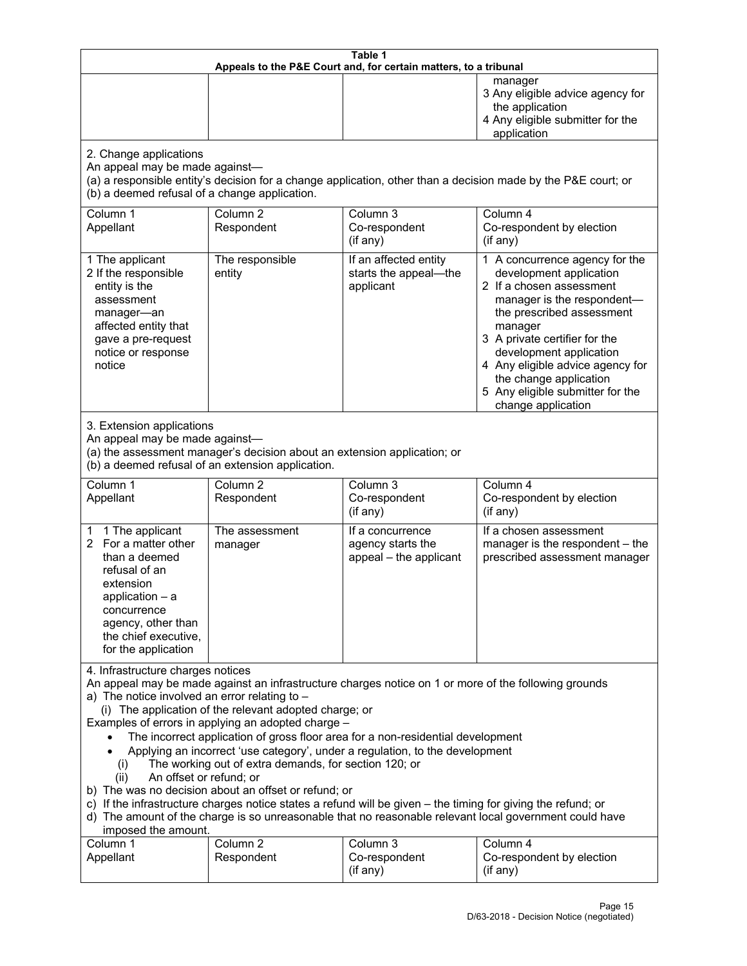| Table 1<br>Appeals to the P&E Court and, for certain matters, to a tribunal                                                                                                                                                                                                                                                                                                                                                                                                                                                                                                                                                                                                                                                                                                                                                                                                               |                                   |                                                                 |                                                                                                                                                                                                                                                                                                                                                 |  |  |
|-------------------------------------------------------------------------------------------------------------------------------------------------------------------------------------------------------------------------------------------------------------------------------------------------------------------------------------------------------------------------------------------------------------------------------------------------------------------------------------------------------------------------------------------------------------------------------------------------------------------------------------------------------------------------------------------------------------------------------------------------------------------------------------------------------------------------------------------------------------------------------------------|-----------------------------------|-----------------------------------------------------------------|-------------------------------------------------------------------------------------------------------------------------------------------------------------------------------------------------------------------------------------------------------------------------------------------------------------------------------------------------|--|--|
|                                                                                                                                                                                                                                                                                                                                                                                                                                                                                                                                                                                                                                                                                                                                                                                                                                                                                           |                                   |                                                                 | manager<br>3 Any eligible advice agency for<br>the application<br>4 Any eligible submitter for the<br>application                                                                                                                                                                                                                               |  |  |
| 2. Change applications<br>An appeal may be made against-<br>(b) a deemed refusal of a change application.                                                                                                                                                                                                                                                                                                                                                                                                                                                                                                                                                                                                                                                                                                                                                                                 |                                   |                                                                 | (a) a responsible entity's decision for a change application, other than a decision made by the P&E court; or                                                                                                                                                                                                                                   |  |  |
| Column 1<br>Appellant                                                                                                                                                                                                                                                                                                                                                                                                                                                                                                                                                                                                                                                                                                                                                                                                                                                                     | Column <sub>2</sub><br>Respondent | Column 3<br>Co-respondent<br>(if any)                           | Column 4<br>Co-respondent by election<br>(if any)                                                                                                                                                                                                                                                                                               |  |  |
| 1 The applicant<br>2 If the responsible<br>entity is the<br>assessment<br>manager-an<br>affected entity that<br>gave a pre-request<br>notice or response<br>notice                                                                                                                                                                                                                                                                                                                                                                                                                                                                                                                                                                                                                                                                                                                        | The responsible<br>entity         | If an affected entity<br>starts the appeal-the<br>applicant     | 1 A concurrence agency for the<br>development application<br>2 If a chosen assessment<br>manager is the respondent-<br>the prescribed assessment<br>manager<br>3 A private certifier for the<br>development application<br>4 Any eligible advice agency for<br>the change application<br>5 Any eligible submitter for the<br>change application |  |  |
| 3. Extension applications<br>An appeal may be made against-<br>(a) the assessment manager's decision about an extension application; or<br>(b) a deemed refusal of an extension application.                                                                                                                                                                                                                                                                                                                                                                                                                                                                                                                                                                                                                                                                                              |                                   |                                                                 |                                                                                                                                                                                                                                                                                                                                                 |  |  |
| Column 1<br>Appellant                                                                                                                                                                                                                                                                                                                                                                                                                                                                                                                                                                                                                                                                                                                                                                                                                                                                     | Column <sub>2</sub><br>Respondent | Column 3<br>Co-respondent<br>(if any)                           | Column 4<br>Co-respondent by election<br>(if any)                                                                                                                                                                                                                                                                                               |  |  |
| 1 The applicant<br>1.<br>2 For a matter other<br>than a deemed<br>refusal of an<br>extension<br>application $-$ a<br>concurrence<br>agency, other than<br>the chief executive,<br>for the application                                                                                                                                                                                                                                                                                                                                                                                                                                                                                                                                                                                                                                                                                     | The assessment<br>manager         | If a concurrence<br>agency starts the<br>appeal - the applicant | If a chosen assessment<br>manager is the respondent - the<br>prescribed assessment manager                                                                                                                                                                                                                                                      |  |  |
| 4. Infrastructure charges notices<br>An appeal may be made against an infrastructure charges notice on 1 or more of the following grounds<br>a) The notice involved an error relating to -<br>(i) The application of the relevant adopted charge; or<br>Examples of errors in applying an adopted charge -<br>The incorrect application of gross floor area for a non-residential development<br>Applying an incorrect 'use category', under a regulation, to the development<br>The working out of extra demands, for section 120; or<br>(i)<br>An offset or refund; or<br>(ii)<br>b) The was no decision about an offset or refund; or<br>c) If the infrastructure charges notice states a refund will be given - the timing for giving the refund; or<br>d) The amount of the charge is so unreasonable that no reasonable relevant local government could have<br>imposed the amount. |                                   |                                                                 |                                                                                                                                                                                                                                                                                                                                                 |  |  |
| Column 1<br>Appellant                                                                                                                                                                                                                                                                                                                                                                                                                                                                                                                                                                                                                                                                                                                                                                                                                                                                     | Column <sub>2</sub><br>Respondent | Column 3<br>Co-respondent<br>(if any)                           | Column 4<br>Co-respondent by election<br>(if any)                                                                                                                                                                                                                                                                                               |  |  |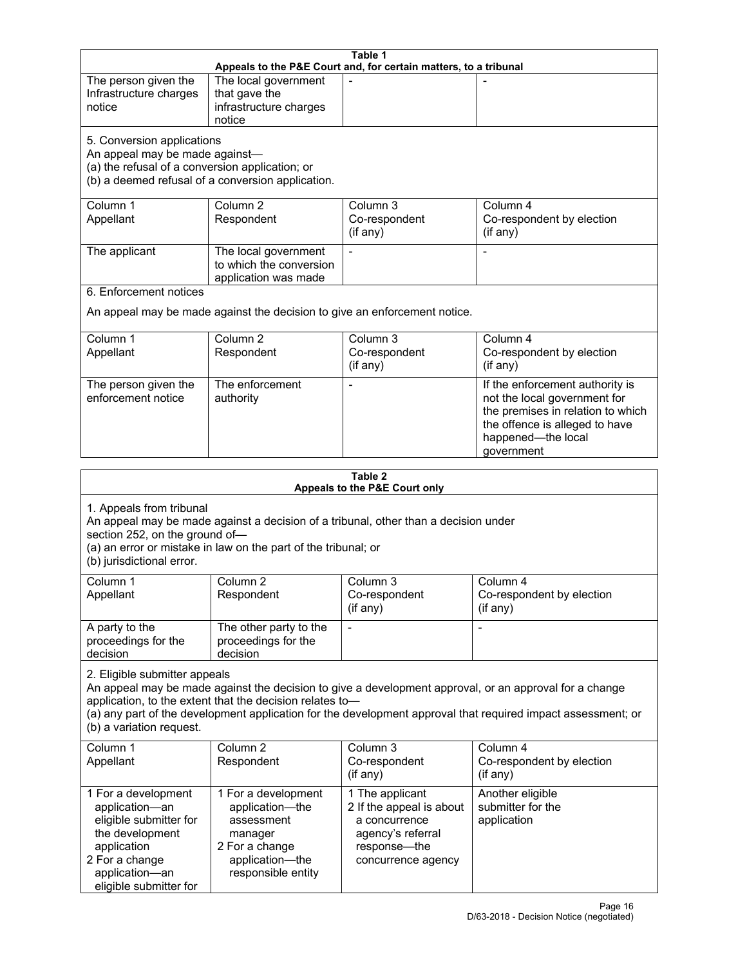| Table 1<br>Appeals to the P&E Court and, for certain matters, to a tribunal                                                                                                                                                                                                                                                                     |                                                                                                                            |                                                                                                                         |                                                                                                                                                                            |  |  |
|-------------------------------------------------------------------------------------------------------------------------------------------------------------------------------------------------------------------------------------------------------------------------------------------------------------------------------------------------|----------------------------------------------------------------------------------------------------------------------------|-------------------------------------------------------------------------------------------------------------------------|----------------------------------------------------------------------------------------------------------------------------------------------------------------------------|--|--|
| The person given the<br>Infrastructure charges<br>notice                                                                                                                                                                                                                                                                                        | The local government<br>that gave the<br>infrastructure charges<br>notice                                                  |                                                                                                                         |                                                                                                                                                                            |  |  |
| 5. Conversion applications<br>An appeal may be made against-<br>(a) the refusal of a conversion application; or                                                                                                                                                                                                                                 | (b) a deemed refusal of a conversion application.                                                                          |                                                                                                                         |                                                                                                                                                                            |  |  |
| Column 1<br>Appellant                                                                                                                                                                                                                                                                                                                           | Column <sub>2</sub><br>Respondent                                                                                          | Column 3<br>Co-respondent<br>(if any)                                                                                   | Column 4<br>Co-respondent by election<br>(if any)                                                                                                                          |  |  |
| The applicant                                                                                                                                                                                                                                                                                                                                   | The local government<br>to which the conversion<br>application was made                                                    | $\blacksquare$                                                                                                          |                                                                                                                                                                            |  |  |
| 6. Enforcement notices                                                                                                                                                                                                                                                                                                                          |                                                                                                                            | An appeal may be made against the decision to give an enforcement notice.                                               |                                                                                                                                                                            |  |  |
| Column 1<br>Appellant                                                                                                                                                                                                                                                                                                                           | Column <sub>2</sub><br>Respondent                                                                                          | Column 3<br>Co-respondent<br>(if any)                                                                                   | Column 4<br>Co-respondent by election<br>(if any)                                                                                                                          |  |  |
| The person given the<br>enforcement notice                                                                                                                                                                                                                                                                                                      | The enforcement<br>authority                                                                                               |                                                                                                                         | If the enforcement authority is<br>not the local government for<br>the premises in relation to which<br>the offence is alleged to have<br>happened-the local<br>government |  |  |
| Table 2<br>Appeals to the P&E Court only                                                                                                                                                                                                                                                                                                        |                                                                                                                            |                                                                                                                         |                                                                                                                                                                            |  |  |
| 1. Appeals from tribunal<br>An appeal may be made against a decision of a tribunal, other than a decision under<br>section 252, on the ground of-<br>(a) an error or mistake in law on the part of the tribunal; or<br>(b) jurisdictional error.                                                                                                |                                                                                                                            |                                                                                                                         |                                                                                                                                                                            |  |  |
| Column 1<br>Appellant                                                                                                                                                                                                                                                                                                                           | Column <sub>2</sub><br>Respondent                                                                                          | Column 3<br>Co-respondent<br>(if any)                                                                                   | Column 4<br>Co-respondent by election<br>$($ if any $)$                                                                                                                    |  |  |
| A party to the<br>proceedings for the<br>decision                                                                                                                                                                                                                                                                                               | The other party to the<br>proceedings for the<br>decision                                                                  | $\overline{\phantom{a}}$                                                                                                |                                                                                                                                                                            |  |  |
| 2. Eligible submitter appeals<br>An appeal may be made against the decision to give a development approval, or an approval for a change<br>application, to the extent that the decision relates to-<br>(a) any part of the development application for the development approval that required impact assessment; or<br>(b) a variation request. |                                                                                                                            |                                                                                                                         |                                                                                                                                                                            |  |  |
| Column 1<br>Appellant                                                                                                                                                                                                                                                                                                                           | Column <sub>2</sub><br>Respondent                                                                                          | Column 3<br>Co-respondent<br>(if any)                                                                                   | Column 4<br>Co-respondent by election<br>(if any)                                                                                                                          |  |  |
| 1 For a development<br>application-an<br>eligible submitter for<br>the development<br>application<br>2 For a change<br>application-an<br>eligible submitter for                                                                                                                                                                                 | 1 For a development<br>application-the<br>assessment<br>manager<br>2 For a change<br>application-the<br>responsible entity | 1 The applicant<br>2 If the appeal is about<br>a concurrence<br>agency's referral<br>response-the<br>concurrence agency | Another eligible<br>submitter for the<br>application                                                                                                                       |  |  |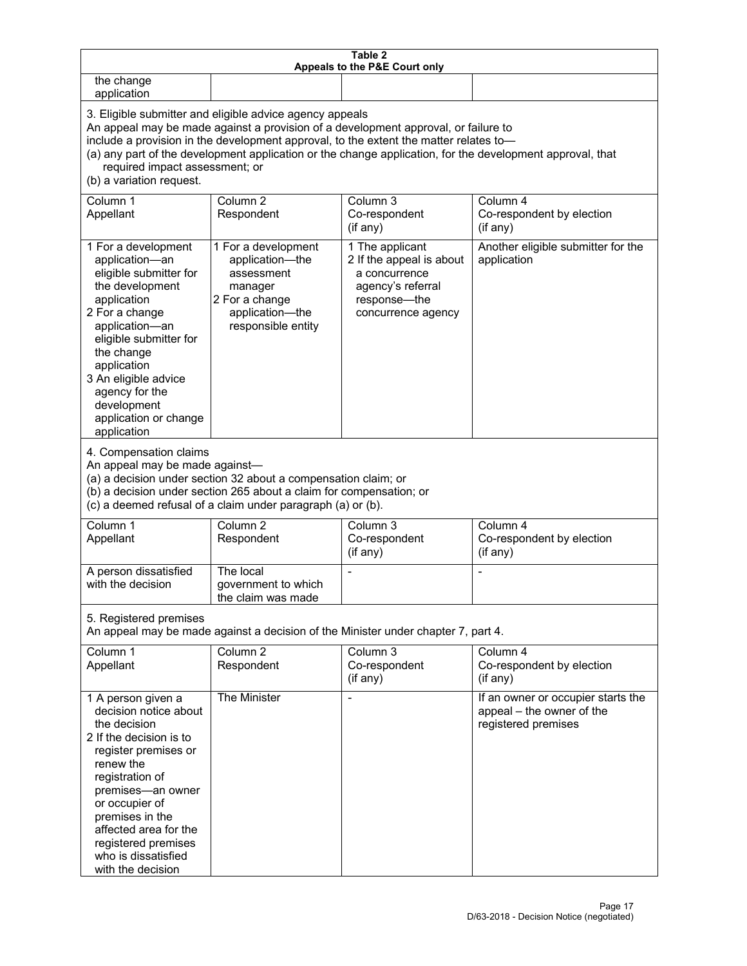| Table 2<br>Appeals to the P&E Court only                                                                                                                                                                                                                                                                                                                                                                           |                                                                                                                            |                                                                                                                         |                                                                                        |  |  |
|--------------------------------------------------------------------------------------------------------------------------------------------------------------------------------------------------------------------------------------------------------------------------------------------------------------------------------------------------------------------------------------------------------------------|----------------------------------------------------------------------------------------------------------------------------|-------------------------------------------------------------------------------------------------------------------------|----------------------------------------------------------------------------------------|--|--|
| the change<br>application                                                                                                                                                                                                                                                                                                                                                                                          |                                                                                                                            |                                                                                                                         |                                                                                        |  |  |
| 3. Eligible submitter and eligible advice agency appeals<br>An appeal may be made against a provision of a development approval, or failure to<br>include a provision in the development approval, to the extent the matter relates to-<br>(a) any part of the development application or the change application, for the development approval, that<br>required impact assessment; or<br>(b) a variation request. |                                                                                                                            |                                                                                                                         |                                                                                        |  |  |
| Column 1<br>Appellant                                                                                                                                                                                                                                                                                                                                                                                              | Column <sub>2</sub><br>Respondent                                                                                          | Column 3<br>Co-respondent<br>(if any)                                                                                   | Column 4<br>Co-respondent by election<br>(if any)                                      |  |  |
| 1 For a development<br>application-an<br>eligible submitter for<br>the development<br>application<br>2 For a change<br>application-an<br>eligible submitter for<br>the change<br>application<br>3 An eligible advice<br>agency for the<br>development<br>application or change<br>application                                                                                                                      | 1 For a development<br>application-the<br>assessment<br>manager<br>2 For a change<br>application-the<br>responsible entity | 1 The applicant<br>2 If the appeal is about<br>a concurrence<br>agency's referral<br>response-the<br>concurrence agency | Another eligible submitter for the<br>application                                      |  |  |
| 4. Compensation claims<br>An appeal may be made against-<br>(a) a decision under section 32 about a compensation claim; or<br>(b) a decision under section 265 about a claim for compensation; or<br>(c) a deemed refusal of a claim under paragraph (a) or (b).                                                                                                                                                   |                                                                                                                            |                                                                                                                         |                                                                                        |  |  |
| Column 1<br>Appellant                                                                                                                                                                                                                                                                                                                                                                                              | Column <sub>2</sub><br>Respondent                                                                                          | Column 3<br>Co-respondent<br>(if any)                                                                                   | Column 4<br>Co-respondent by election<br>(if any)                                      |  |  |
| A person dissatisfied<br>with the decision                                                                                                                                                                                                                                                                                                                                                                         | The local<br>government to which<br>the claim was made                                                                     |                                                                                                                         |                                                                                        |  |  |
| 5. Registered premises<br>An appeal may be made against a decision of the Minister under chapter 7, part 4.                                                                                                                                                                                                                                                                                                        |                                                                                                                            |                                                                                                                         |                                                                                        |  |  |
| Column 1<br>Appellant                                                                                                                                                                                                                                                                                                                                                                                              | Column <sub>2</sub><br>Respondent                                                                                          | Column 3<br>Co-respondent<br>(if any)                                                                                   | Column 4<br>Co-respondent by election<br>(if any)                                      |  |  |
| 1 A person given a<br>decision notice about<br>the decision<br>2 If the decision is to<br>register premises or<br>renew the<br>registration of<br>premises-an owner<br>or occupier of<br>premises in the<br>affected area for the<br>registered premises<br>who is dissatisfied<br>with the decision                                                                                                               | The Minister                                                                                                               | $\overline{a}$                                                                                                          | If an owner or occupier starts the<br>appeal - the owner of the<br>registered premises |  |  |